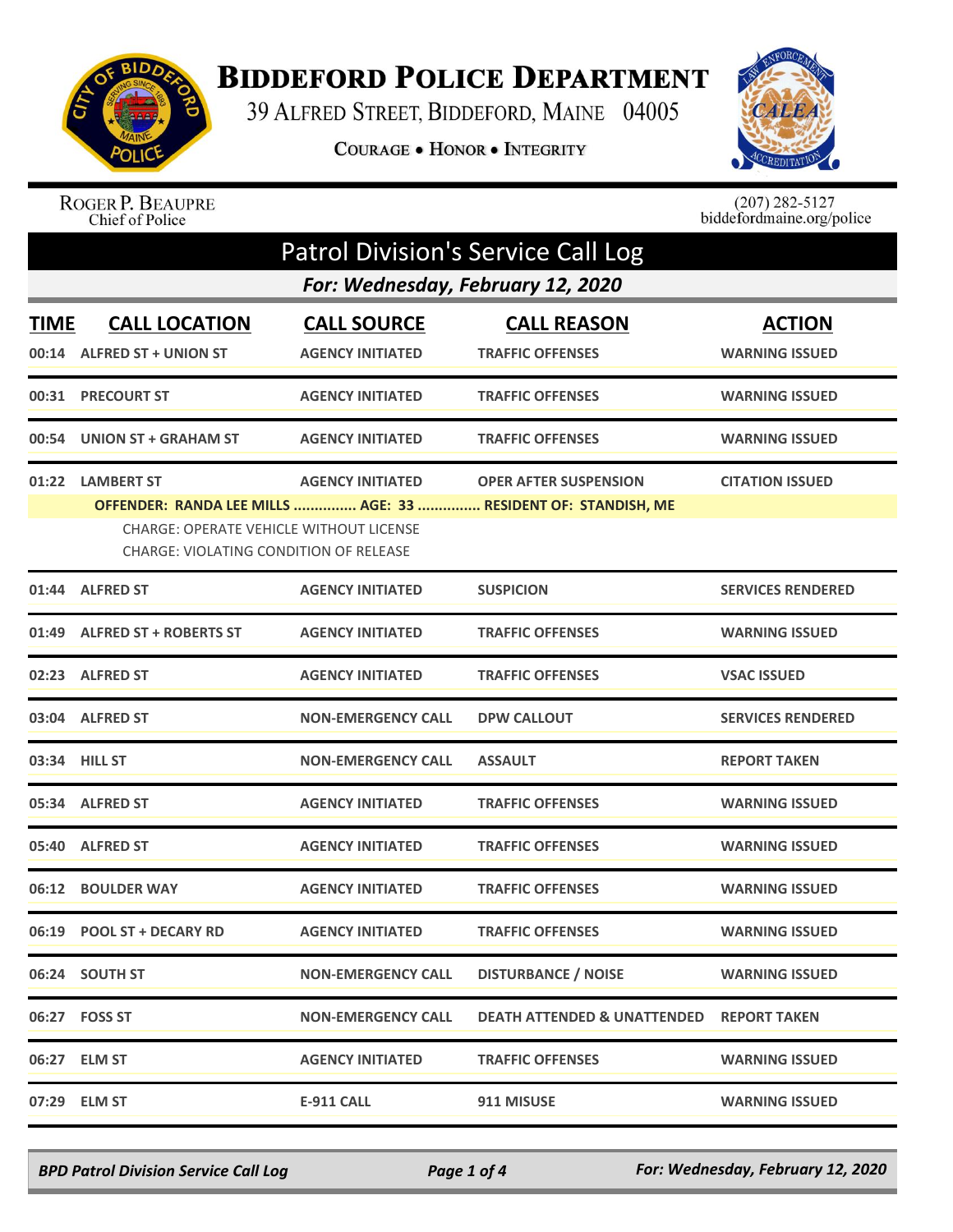

## **BIDDEFORD POLICE DEPARTMENT**

39 ALFRED STREET, BIDDEFORD, MAINE 04005

COURAGE . HONOR . INTEGRITY



ROGER P. BEAUPRE<br>Chief of Police

 $(207)$  282-5127<br>biddefordmaine.org/police

|             | Patrol Division's Service Call Log                                                                           |                                               |                                                                                               |                                        |  |  |
|-------------|--------------------------------------------------------------------------------------------------------------|-----------------------------------------------|-----------------------------------------------------------------------------------------------|----------------------------------------|--|--|
|             | For: Wednesday, February 12, 2020                                                                            |                                               |                                                                                               |                                        |  |  |
| <b>TIME</b> | <b>CALL LOCATION</b><br>00:14 ALFRED ST + UNION ST                                                           | <b>CALL SOURCE</b><br><b>AGENCY INITIATED</b> | <b>CALL REASON</b><br><b>TRAFFIC OFFENSES</b>                                                 | <b>ACTION</b><br><b>WARNING ISSUED</b> |  |  |
|             | 00:31 PRECOURT ST                                                                                            | <b>AGENCY INITIATED</b>                       | <b>TRAFFIC OFFENSES</b>                                                                       | <b>WARNING ISSUED</b>                  |  |  |
|             | 00:54 UNION ST + GRAHAM ST                                                                                   | <b>AGENCY INITIATED</b>                       | <b>TRAFFIC OFFENSES</b>                                                                       | <b>WARNING ISSUED</b>                  |  |  |
|             | 01:22 LAMBERT ST<br><b>CHARGE: OPERATE VEHICLE WITHOUT LICENSE</b><br>CHARGE: VIOLATING CONDITION OF RELEASE | <b>AGENCY INITIATED</b>                       | <b>OPER AFTER SUSPENSION</b><br>OFFENDER: RANDA LEE MILLS  AGE: 33  RESIDENT OF: STANDISH, ME | <b>CITATION ISSUED</b>                 |  |  |
|             | 01:44 ALFRED ST                                                                                              | <b>AGENCY INITIATED</b>                       | <b>SUSPICION</b>                                                                              | <b>SERVICES RENDERED</b>               |  |  |
|             | 01:49 ALFRED ST + ROBERTS ST                                                                                 | <b>AGENCY INITIATED</b>                       | <b>TRAFFIC OFFENSES</b>                                                                       | <b>WARNING ISSUED</b>                  |  |  |
|             | 02:23 ALFRED ST                                                                                              | <b>AGENCY INITIATED</b>                       | <b>TRAFFIC OFFENSES</b>                                                                       | <b>VSAC ISSUED</b>                     |  |  |
|             | 03:04 ALFRED ST                                                                                              | <b>NON-EMERGENCY CALL</b>                     | <b>DPW CALLOUT</b>                                                                            | <b>SERVICES RENDERED</b>               |  |  |
|             | 03:34 HILL ST                                                                                                | <b>NON-EMERGENCY CALL</b>                     | <b>ASSAULT</b>                                                                                | <b>REPORT TAKEN</b>                    |  |  |
|             | 05:34 ALFRED ST                                                                                              | <b>AGENCY INITIATED</b>                       | <b>TRAFFIC OFFENSES</b>                                                                       | <b>WARNING ISSUED</b>                  |  |  |
|             | 05:40 ALFRED ST                                                                                              | <b>AGENCY INITIATED</b>                       | <b>TRAFFIC OFFENSES</b>                                                                       | <b>WARNING ISSUED</b>                  |  |  |
|             | 06:12 BOULDER WAY                                                                                            | <b>AGENCY INITIATED</b>                       | <b>TRAFFIC OFFENSES</b>                                                                       | <b>WARNING ISSUED</b>                  |  |  |
|             | 06:19 POOL ST + DECARY RD                                                                                    | <b>AGENCY INITIATED</b>                       | <b>TRAFFIC OFFENSES</b>                                                                       | <b>WARNING ISSUED</b>                  |  |  |
|             | 06:24 SOUTH ST                                                                                               | <b>NON-EMERGENCY CALL</b>                     | <b>DISTURBANCE / NOISE</b>                                                                    | <b>WARNING ISSUED</b>                  |  |  |
|             | 06:27 FOSS ST                                                                                                | <b>NON-EMERGENCY CALL</b>                     | <b>DEATH ATTENDED &amp; UNATTENDED</b>                                                        | <b>REPORT TAKEN</b>                    |  |  |
|             | 06:27 ELM ST                                                                                                 | <b>AGENCY INITIATED</b>                       | <b>TRAFFIC OFFENSES</b>                                                                       | <b>WARNING ISSUED</b>                  |  |  |
|             | 07:29 ELM ST                                                                                                 | <b>E-911 CALL</b>                             | 911 MISUSE                                                                                    | <b>WARNING ISSUED</b>                  |  |  |

*BPD Patrol Division Service Call Log Page 1 of 4 For: Wednesday, February 12, 2020*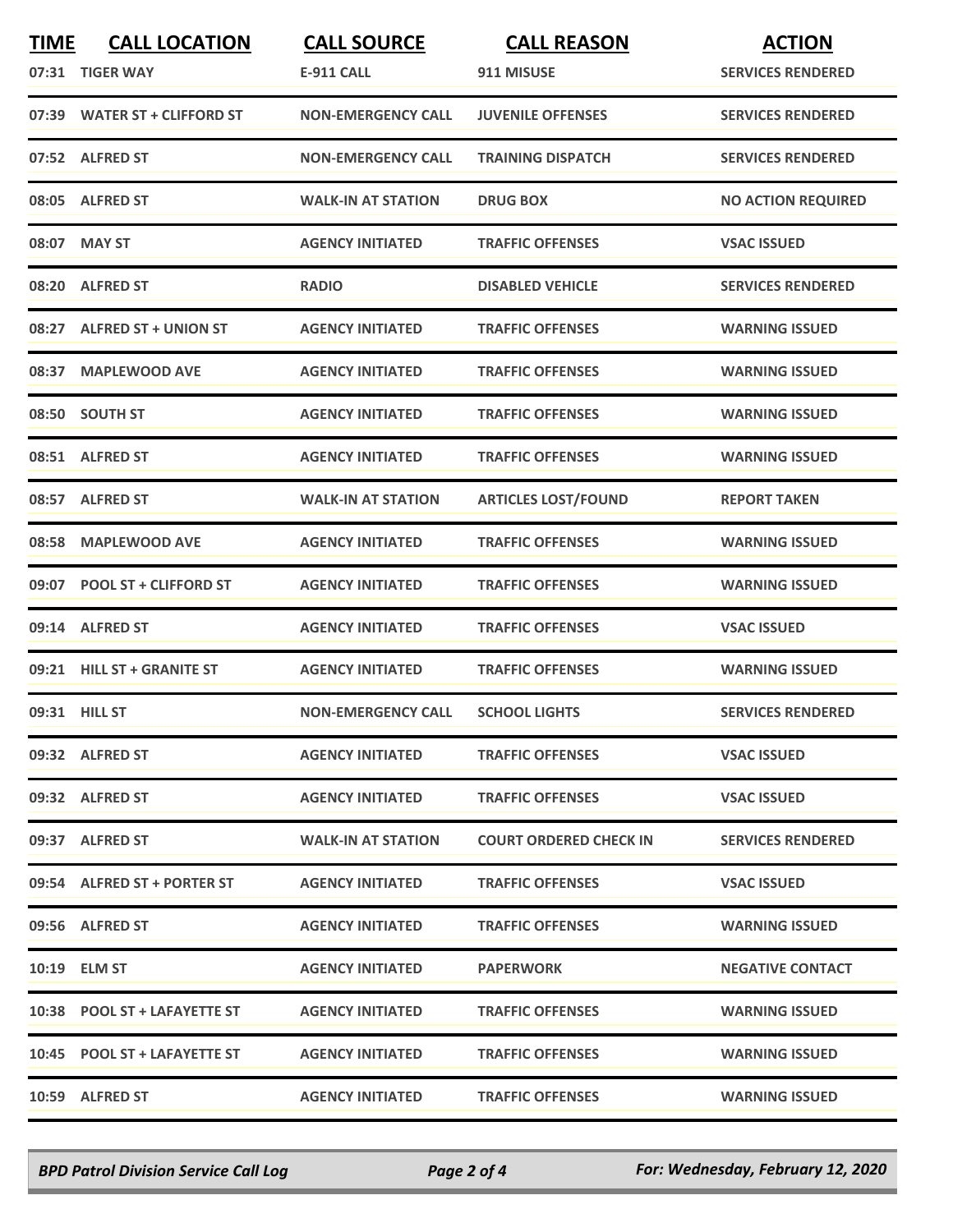| <b>TIME</b> | <b>CALL LOCATION</b><br>07:31 TIGER WAY | <b>CALL SOURCE</b><br><b>E-911 CALL</b> | <b>CALL REASON</b><br>911 MISUSE | <b>ACTION</b><br><b>SERVICES RENDERED</b> |
|-------------|-----------------------------------------|-----------------------------------------|----------------------------------|-------------------------------------------|
|             | 07:39 WATER ST + CLIFFORD ST            | <b>NON-EMERGENCY CALL</b>               | <b>JUVENILE OFFENSES</b>         | <b>SERVICES RENDERED</b>                  |
|             | 07:52 ALFRED ST                         | <b>NON-EMERGENCY CALL</b>               | <b>TRAINING DISPATCH</b>         | <b>SERVICES RENDERED</b>                  |
|             | 08:05 ALFRED ST                         | <b>WALK-IN AT STATION</b>               | <b>DRUG BOX</b>                  | <b>NO ACTION REQUIRED</b>                 |
|             | 08:07 MAY ST                            | <b>AGENCY INITIATED</b>                 | <b>TRAFFIC OFFENSES</b>          | <b>VSAC ISSUED</b>                        |
|             | 08:20 ALFRED ST                         | <b>RADIO</b>                            | <b>DISABLED VEHICLE</b>          | <b>SERVICES RENDERED</b>                  |
| 08:27       | <b>ALFRED ST + UNION ST</b>             | <b>AGENCY INITIATED</b>                 | <b>TRAFFIC OFFENSES</b>          | <b>WARNING ISSUED</b>                     |
|             | 08:37 MAPLEWOOD AVE                     | <b>AGENCY INITIATED</b>                 | <b>TRAFFIC OFFENSES</b>          | <b>WARNING ISSUED</b>                     |
|             | 08:50 SOUTH ST                          | <b>AGENCY INITIATED</b>                 | <b>TRAFFIC OFFENSES</b>          | <b>WARNING ISSUED</b>                     |
|             | 08:51 ALFRED ST                         | <b>AGENCY INITIATED</b>                 | <b>TRAFFIC OFFENSES</b>          | <b>WARNING ISSUED</b>                     |
|             | 08:57 ALFRED ST                         | <b>WALK-IN AT STATION</b>               | <b>ARTICLES LOST/FOUND</b>       | <b>REPORT TAKEN</b>                       |
|             | 08:58 MAPLEWOOD AVE                     | <b>AGENCY INITIATED</b>                 | <b>TRAFFIC OFFENSES</b>          | <b>WARNING ISSUED</b>                     |
|             | 09:07 POOL ST + CLIFFORD ST             | <b>AGENCY INITIATED</b>                 | <b>TRAFFIC OFFENSES</b>          | <b>WARNING ISSUED</b>                     |
|             | 09:14 ALFRED ST                         | <b>AGENCY INITIATED</b>                 | <b>TRAFFIC OFFENSES</b>          | <b>VSAC ISSUED</b>                        |
|             | 09:21 HILL ST + GRANITE ST              | <b>AGENCY INITIATED</b>                 | <b>TRAFFIC OFFENSES</b>          | <b>WARNING ISSUED</b>                     |
|             | 09:31 HILL ST                           | <b>NON-EMERGENCY CALL</b>               | <b>SCHOOL LIGHTS</b>             | <b>SERVICES RENDERED</b>                  |
|             | 09:32 ALFRED ST                         | <b>AGENCY INITIATED</b>                 | <b>TRAFFIC OFFENSES</b>          | <b>VSAC ISSUED</b>                        |
|             | 09:32 ALFRED ST                         | <b>AGENCY INITIATED</b>                 | <b>TRAFFIC OFFENSES</b>          | <b>VSAC ISSUED</b>                        |
|             | 09:37 ALFRED ST                         | <b>WALK-IN AT STATION</b>               | <b>COURT ORDERED CHECK IN</b>    | <b>SERVICES RENDERED</b>                  |
|             | 09:54 ALFRED ST + PORTER ST             | <b>AGENCY INITIATED</b>                 | <b>TRAFFIC OFFENSES</b>          | <b>VSAC ISSUED</b>                        |
|             | 09:56 ALFRED ST                         | <b>AGENCY INITIATED</b>                 | <b>TRAFFIC OFFENSES</b>          | <b>WARNING ISSUED</b>                     |
|             | 10:19 ELM ST                            | <b>AGENCY INITIATED</b>                 | <b>PAPERWORK</b>                 | <b>NEGATIVE CONTACT</b>                   |
|             | 10:38 POOL ST + LAFAYETTE ST            | <b>AGENCY INITIATED</b>                 | <b>TRAFFIC OFFENSES</b>          | <b>WARNING ISSUED</b>                     |
|             | 10:45 POOL ST + LAFAYETTE ST            | <b>AGENCY INITIATED</b>                 | <b>TRAFFIC OFFENSES</b>          | <b>WARNING ISSUED</b>                     |
|             | 10:59 ALFRED ST                         | <b>AGENCY INITIATED</b>                 | <b>TRAFFIC OFFENSES</b>          | <b>WARNING ISSUED</b>                     |

*BPD Patrol Division Service Call Log Page 2 of 4 For: Wednesday, February 12, 2020*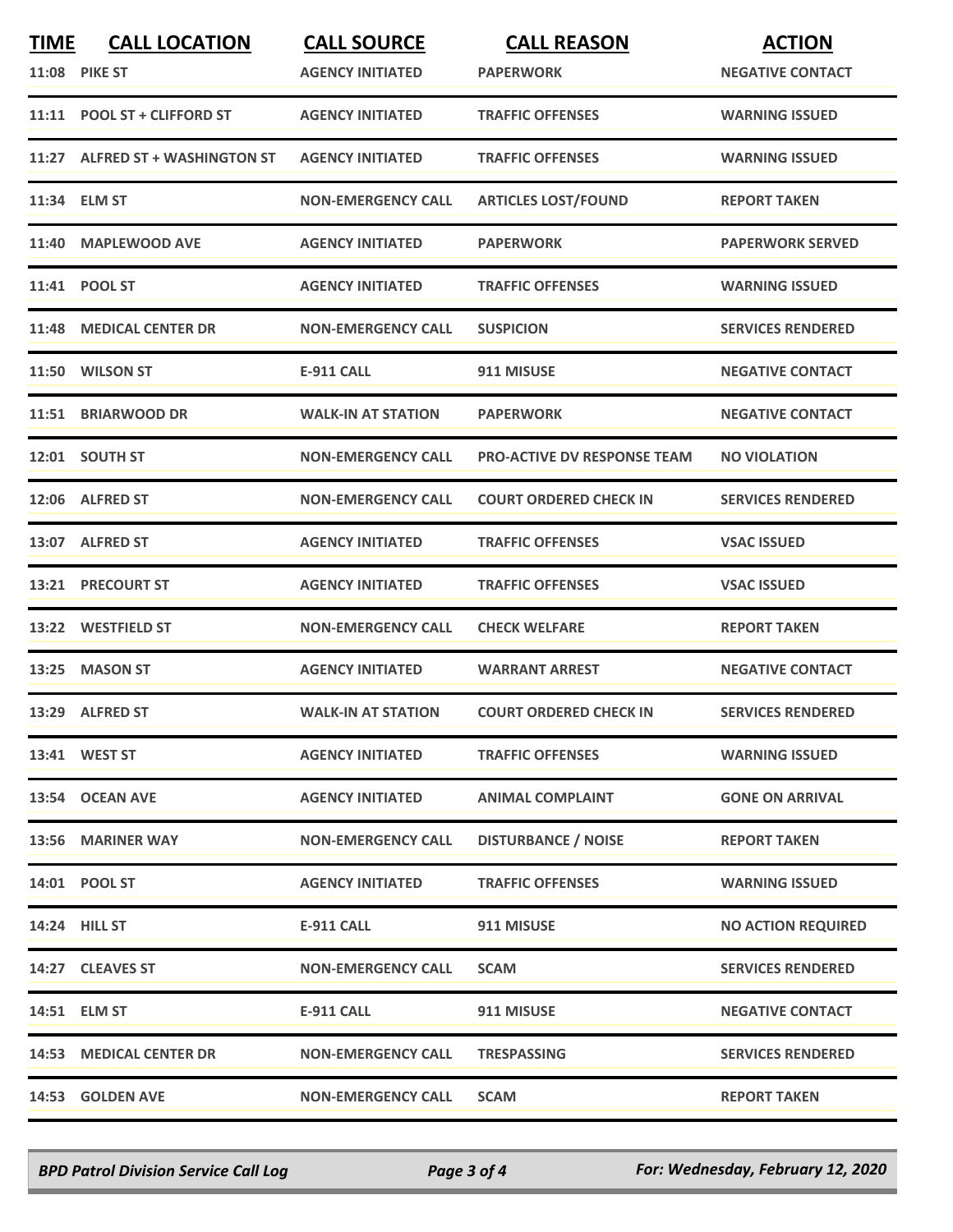| <b>TIME</b> | <b>CALL LOCATION</b><br><b>11:08 PIKE ST</b> | <b>CALL SOURCE</b><br><b>AGENCY INITIATED</b> | <b>CALL REASON</b><br><b>PAPERWORK</b> | <b>ACTION</b><br><b>NEGATIVE CONTACT</b> |
|-------------|----------------------------------------------|-----------------------------------------------|----------------------------------------|------------------------------------------|
|             | 11:11 POOL ST + CLIFFORD ST                  | <b>AGENCY INITIATED</b>                       | <b>TRAFFIC OFFENSES</b>                | <b>WARNING ISSUED</b>                    |
|             | 11:27 ALFRED ST + WASHINGTON ST              | <b>AGENCY INITIATED</b>                       | <b>TRAFFIC OFFENSES</b>                | <b>WARNING ISSUED</b>                    |
|             | 11:34 ELM ST                                 | <b>NON-EMERGENCY CALL</b>                     | <b>ARTICLES LOST/FOUND</b>             | <b>REPORT TAKEN</b>                      |
| 11:40       | <b>MAPLEWOOD AVE</b>                         | <b>AGENCY INITIATED</b>                       | <b>PAPERWORK</b>                       | <b>PAPERWORK SERVED</b>                  |
|             | 11:41 POOL ST                                | <b>AGENCY INITIATED</b>                       | <b>TRAFFIC OFFENSES</b>                | <b>WARNING ISSUED</b>                    |
| 11:48       | <b>MEDICAL CENTER DR</b>                     | <b>NON-EMERGENCY CALL</b>                     | <b>SUSPICION</b>                       | <b>SERVICES RENDERED</b>                 |
|             | 11:50 WILSON ST                              | <b>E-911 CALL</b>                             | 911 MISUSE                             | <b>NEGATIVE CONTACT</b>                  |
|             | 11:51 BRIARWOOD DR                           | <b>WALK-IN AT STATION</b>                     | <b>PAPERWORK</b>                       | <b>NEGATIVE CONTACT</b>                  |
|             | 12:01 SOUTH ST                               | <b>NON-EMERGENCY CALL</b>                     | <b>PRO-ACTIVE DV RESPONSE TEAM</b>     | <b>NO VIOLATION</b>                      |
|             | 12:06 ALFRED ST                              | <b>NON-EMERGENCY CALL</b>                     | <b>COURT ORDERED CHECK IN</b>          | <b>SERVICES RENDERED</b>                 |
|             | 13:07 ALFRED ST                              | <b>AGENCY INITIATED</b>                       | <b>TRAFFIC OFFENSES</b>                | <b>VSAC ISSUED</b>                       |
|             | 13:21 PRECOURT ST                            | <b>AGENCY INITIATED</b>                       | <b>TRAFFIC OFFENSES</b>                | <b>VSAC ISSUED</b>                       |
|             | 13:22 WESTFIELD ST                           | <b>NON-EMERGENCY CALL</b>                     | <b>CHECK WELFARE</b>                   | <b>REPORT TAKEN</b>                      |
| 13:25       | <b>MASON ST</b>                              | <b>AGENCY INITIATED</b>                       | <b>WARRANT ARREST</b>                  | <b>NEGATIVE CONTACT</b>                  |
|             | 13:29 ALFRED ST                              | <b>WALK-IN AT STATION</b>                     | <b>COURT ORDERED CHECK IN</b>          | <b>SERVICES RENDERED</b>                 |
|             | 13:41 WEST ST                                | <b>AGENCY INITIATED</b>                       | <b>TRAFFIC OFFENSES</b>                | <b>WARNING ISSUED</b>                    |
|             | 13:54 OCEAN AVE                              | <b>AGENCY INITIATED</b>                       | <b>ANIMAL COMPLAINT</b>                | <b>GONE ON ARRIVAL</b>                   |
|             | 13:56 MARINER WAY                            | <b>NON-EMERGENCY CALL</b>                     | <b>DISTURBANCE / NOISE</b>             | <b>REPORT TAKEN</b>                      |
|             | 14:01 POOL ST                                | <b>AGENCY INITIATED</b>                       | <b>TRAFFIC OFFENSES</b>                | <b>WARNING ISSUED</b>                    |
|             | <b>14:24 HILL ST</b>                         | E-911 CALL                                    | 911 MISUSE                             | <b>NO ACTION REQUIRED</b>                |
|             | 14:27 CLEAVES ST                             | <b>NON-EMERGENCY CALL</b>                     | <b>SCAM</b>                            | <b>SERVICES RENDERED</b>                 |
|             | 14:51 ELM ST                                 | E-911 CALL                                    | 911 MISUSE                             | <b>NEGATIVE CONTACT</b>                  |
|             | <b>14:53 MEDICAL CENTER DR</b>               | <b>NON-EMERGENCY CALL</b>                     | <b>TRESPASSING</b>                     | <b>SERVICES RENDERED</b>                 |
|             | 14:53 GOLDEN AVE                             | <b>NON-EMERGENCY CALL</b>                     | <b>SCAM</b>                            | <b>REPORT TAKEN</b>                      |

*BPD Patrol Division Service Call Log Page 3 of 4 For: Wednesday, February 12, 2020*